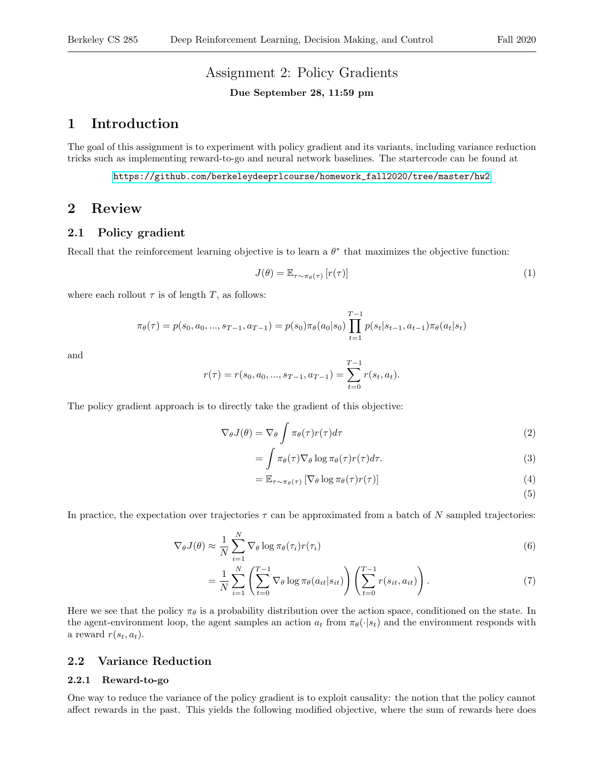# Assignment 2: Policy Gradients

#### Due September 28, 11:59 pm

## 1 Introduction

The goal of this assignment is to experiment with policy gradient and its variants, including variance reduction tricks such as implementing reward-to-go and neural network baselines. The startercode can be found at

[https://github.com/berkeleydeeprlcourse/homework\\_fall2020/tree/master/hw2](https://github.com/berkeleydeeprlcourse/homework_fall2020/tree/master/hw2)

## 2 Review

### 2.1 Policy gradient

Recall that the reinforcement learning objective is to learn a  $\theta^*$  that maximizes the objective function:

$$
J(\theta) = \mathbb{E}_{\tau \sim \pi_{\theta}(\tau)} \left[ r(\tau) \right] \tag{1}
$$

where each rollout  $\tau$  is of length T, as follows:

$$
\pi_{\theta}(\tau) = p(s_0, a_0, ..., s_{T-1}, a_{T-1}) = p(s_0)\pi_{\theta}(a_0|s_0) \prod_{t=1}^{T-1} p(s_t|s_{t-1}, a_{t-1})\pi_{\theta}(a_t|s_t)
$$

and

$$
r(\tau) = r(s_0, a_0, ..., s_{T-1}, a_{T-1}) = \sum_{t=0}^{T-1} r(s_t, a_t).
$$

The policy gradient approach is to directly take the gradient of this objective:

$$
\nabla_{\theta}J(\theta) = \nabla_{\theta} \int \pi_{\theta}(\tau)r(\tau)d\tau
$$
\n(2)

$$
= \int \pi_{\theta}(\tau) \nabla_{\theta} \log \pi_{\theta}(\tau) r(\tau) d\tau.
$$
 (3)

$$
= \mathbb{E}_{\tau \sim \pi_{\theta}(\tau)} \left[ \nabla_{\theta} \log \pi_{\theta}(\tau) r(\tau) \right]
$$
 (4)

(5)

In practice, the expectation over trajectories  $\tau$  can be approximated from a batch of N sampled trajectories:

$$
\nabla_{\theta} J(\theta) \approx \frac{1}{N} \sum_{i=1}^{N} \nabla_{\theta} \log \pi_{\theta}(\tau_i) r(\tau_i)
$$
\n(6)

$$
= \frac{1}{N} \sum_{i=1}^{N} \left( \sum_{t=0}^{T-1} \nabla_{\theta} \log \pi_{\theta}(a_{it}|s_{it}) \right) \left( \sum_{t=0}^{T-1} r(s_{it}, a_{it}) \right). \tag{7}
$$

Here we see that the policy  $\pi_{\theta}$  is a probability distribution over the action space, conditioned on the state. In the agent-environment loop, the agent samples an action  $a_t$  from  $\pi_{\theta}(\cdot|s_t)$  and the environment responds with a reward  $r(s_t, a_t)$ .

### 2.2 Variance Reduction

#### 2.2.1 Reward-to-go

One way to reduce the variance of the policy gradient is to exploit causality: the notion that the policy cannot affect rewards in the past. This yields the following modified objective, where the sum of rewards here does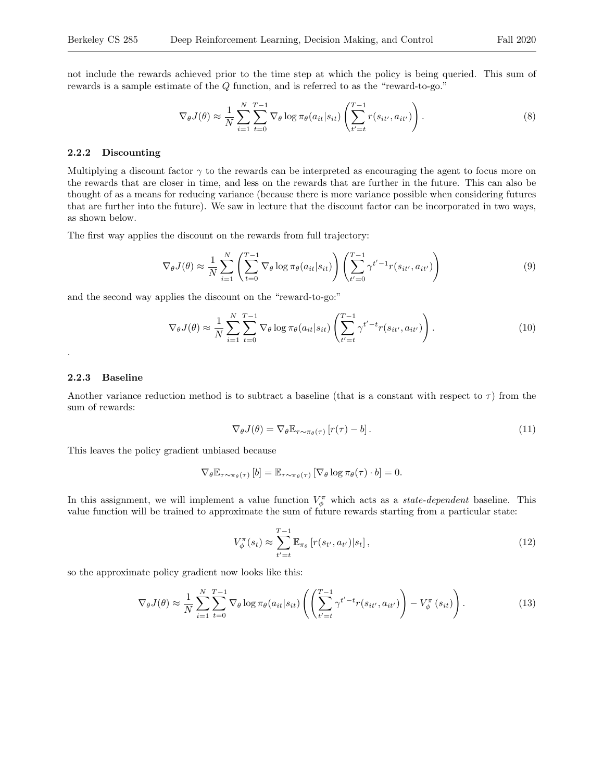not include the rewards achieved prior to the time step at which the policy is being queried. This sum of rewards is a sample estimate of the Q function, and is referred to as the "reward-to-go."

$$
\nabla_{\theta} J(\theta) \approx \frac{1}{N} \sum_{i=1}^{N} \sum_{t=0}^{T-1} \nabla_{\theta} \log \pi_{\theta}(a_{it}|s_{it}) \left( \sum_{t'=t}^{T-1} r(s_{it'}, a_{it'}) \right). \tag{8}
$$

#### 2.2.2 Discounting

Multiplying a discount factor  $\gamma$  to the rewards can be interpreted as encouraging the agent to focus more on the rewards that are closer in time, and less on the rewards that are further in the future. This can also be thought of as a means for reducing variance (because there is more variance possible when considering futures that are further into the future). We saw in lecture that the discount factor can be incorporated in two ways, as shown below.

The first way applies the discount on the rewards from full trajectory:

$$
\nabla_{\theta} J(\theta) \approx \frac{1}{N} \sum_{i=1}^{N} \left( \sum_{t=0}^{T-1} \nabla_{\theta} \log \pi_{\theta}(a_{it}|s_{it}) \right) \left( \sum_{t'=0}^{T-1} \gamma^{t'-1} r(s_{it'}, a_{it'}) \right)
$$
(9)

and the second way applies the discount on the "reward-to-go:"

$$
\nabla_{\theta} J(\theta) \approx \frac{1}{N} \sum_{i=1}^{N} \sum_{t=0}^{T-1} \nabla_{\theta} \log \pi_{\theta}(a_{it}|s_{it}) \left( \sum_{t'=t}^{T-1} \gamma^{t'-t} r(s_{it'}, a_{it'}) \right). \tag{10}
$$

#### 2.2.3 Baseline

.

Another variance reduction method is to subtract a baseline (that is a constant with respect to  $\tau$ ) from the sum of rewards:

<span id="page-1-1"></span><span id="page-1-0"></span>
$$
\nabla_{\theta} J(\theta) = \nabla_{\theta} \mathbb{E}_{\tau \sim \pi_{\theta}(\tau)} \left[ r(\tau) - b \right]. \tag{11}
$$

This leaves the policy gradient unbiased because

$$
\nabla_{\theta} \mathbb{E}_{\tau \sim \pi_{\theta}(\tau)} [b] = \mathbb{E}_{\tau \sim \pi_{\theta}(\tau)} [\nabla_{\theta} \log \pi_{\theta}(\tau) \cdot b] = 0.
$$

In this assignment, we will implement a value function  $V^{\pi}_{\phi}$  which acts as a *state-dependent* baseline. This value function will be trained to approximate the sum of future rewards starting from a particular state:

$$
V_{\phi}^{\pi}(s_t) \approx \sum_{t'=t}^{T-1} \mathbb{E}_{\pi_{\theta}} \left[ r(s_{t'}, a_{t'}) | s_t \right],
$$
\n(12)

so the approximate policy gradient now looks like this:

$$
\nabla_{\theta} J(\theta) \approx \frac{1}{N} \sum_{i=1}^{N} \sum_{t=0}^{T-1} \nabla_{\theta} \log \pi_{\theta}(a_{it}|s_{it}) \left( \left( \sum_{t'=t}^{T-1} \gamma^{t'-t} r(s_{it'}, a_{it'}) \right) - V_{\phi}^{\pi}(s_{it}) \right). \tag{13}
$$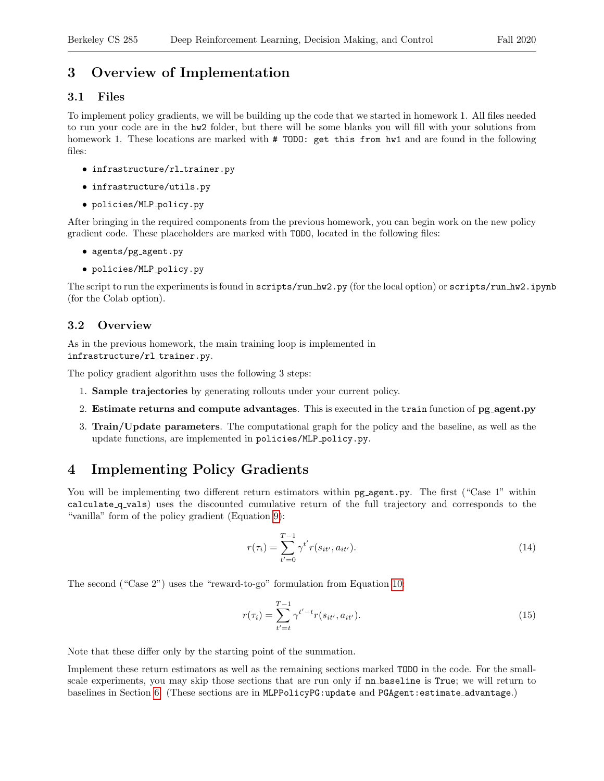# 3 Overview of Implementation

### 3.1 Files

To implement policy gradients, we will be building up the code that we started in homework 1. All files needed to run your code are in the hw2 folder, but there will be some blanks you will fill with your solutions from homework 1. These locations are marked with  $#$  TODO: get this from hw1 and are found in the following files:

- infrastructure/rl\_trainer.py
- infrastructure/utils.py
- policies/MLP policy.py

After bringing in the required components from the previous homework, you can begin work on the new policy gradient code. These placeholders are marked with TODO, located in the following files:

- agents/pg agent.py
- policies/MLP policy.py

The script to run the experiments is found in scripts/run hw2.py (for the local option) or scripts/run hw2.ipynb (for the Colab option).

### 3.2 Overview

As in the previous homework, the main training loop is implemented in infrastructure/rl\_trainer.py.

The policy gradient algorithm uses the following 3 steps:

- 1. Sample trajectories by generating rollouts under your current policy.
- 2. Estimate returns and compute advantages. This is executed in the train function of pg agent.py
- 3. Train/Update parameters. The computational graph for the policy and the baseline, as well as the update functions, are implemented in policies/MLP policy.py.

# <span id="page-2-0"></span>4 Implementing Policy Gradients

You will be implementing two different return estimators within  $pg\text{-}agent.py$ . The first ("Case 1" within calculate q vals) uses the discounted cumulative return of the full trajectory and corresponds to the "vanilla" form of the policy gradient (Equation [9\)](#page-1-0):

$$
r(\tau_i) = \sum_{t'=0}^{T-1} \gamma^{t'} r(s_{it'}, a_{it'}).
$$
\n(14)

The second ("Case 2") uses the "reward-to-go" formulation from Equation [10:](#page-1-1)

$$
r(\tau_i) = \sum_{t'=t}^{T-1} \gamma^{t'-t} r(s_{it'}, a_{it'}).
$$
\n(15)

Note that these differ only by the starting point of the summation.

Implement these return estimators as well as the remaining sections marked TODO in the code. For the smallscale experiments, you may skip those sections that are run only if nn baseline is True; we will return to baselines in Section [6.](#page-4-0) (These sections are in MLPPolicyPG:update and PGAgent:estimate advantage.)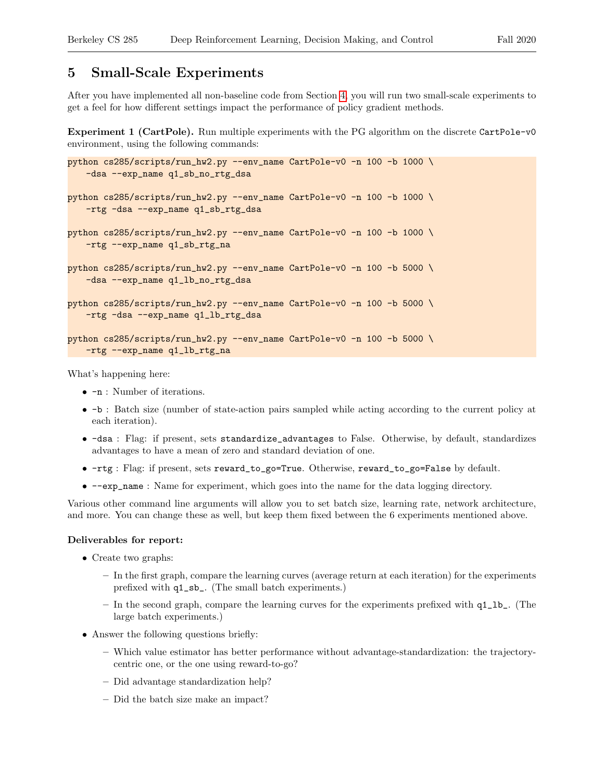## 5 Small-Scale Experiments

After you have implemented all non-baseline code from Section [4,](#page-2-0) you will run two small-scale experiments to get a feel for how different settings impact the performance of policy gradient methods.

Experiment 1 (CartPole). Run multiple experiments with the PG algorithm on the discrete CartPole-v0 environment, using the following commands:

```
python cs285/scripts/run_hw2.py --env_name CartPole-v0 -n 100 -b 1000 \
   -dsa --exp_name q1_sb_no_rtg_dsa
python cs285/scripts/run_hw2.py --env_name CartPole-v0 -n 100 -b 1000 \
   -rtg -dsa --exp_name q1_sb_rtg_dsa
python cs285/scripts/run_hw2.py --env_name CartPole-v0 -n 100 -b 1000 \
   -rtg --exp_name q1_sb_rtg_na
python cs285/scripts/run_hw2.py --env_name CartPole-v0 -n 100 -b 5000 \
   -dsa --exp_name q1_lb_no_rtg_dsa
python cs285/scripts/run_hw2.py --env_name CartPole-v0 -n 100 -b 5000 \
   -rtg -dsa --exp_name q1_lb_rtg_dsa
python cs285/scripts/run_hw2.py --env_name CartPole-v0 -n 100 -b 5000 \
   -rtg --exp_name q1_lb_rtg_na
```
What's happening here:

- $-n$ : Number of iterations.
- -b : Batch size (number of state-action pairs sampled while acting according to the current policy at each iteration).
- -dsa : Flag: if present, sets standardize\_advantages to False. Otherwise, by default, standardizes advantages to have a mean of zero and standard deviation of one.
- -rtg : Flag: if present, sets reward\_to\_go=True. Otherwise, reward\_to\_go=False by default.
- --exp\_name : Name for experiment, which goes into the name for the data logging directory.

Various other command line arguments will allow you to set batch size, learning rate, network architecture, and more. You can change these as well, but keep them fixed between the 6 experiments mentioned above.

#### Deliverables for report:

- Create two graphs:
	- In the first graph, compare the learning curves (average return at each iteration) for the experiments prefixed with q1\_sb\_. (The small batch experiments.)
	- In the second graph, compare the learning curves for the experiments prefixed with q1\_lb\_. (The large batch experiments.)
- Answer the following questions briefly:
	- Which value estimator has better performance without advantage-standardization: the trajectorycentric one, or the one using reward-to-go?
	- Did advantage standardization help?
	- Did the batch size make an impact?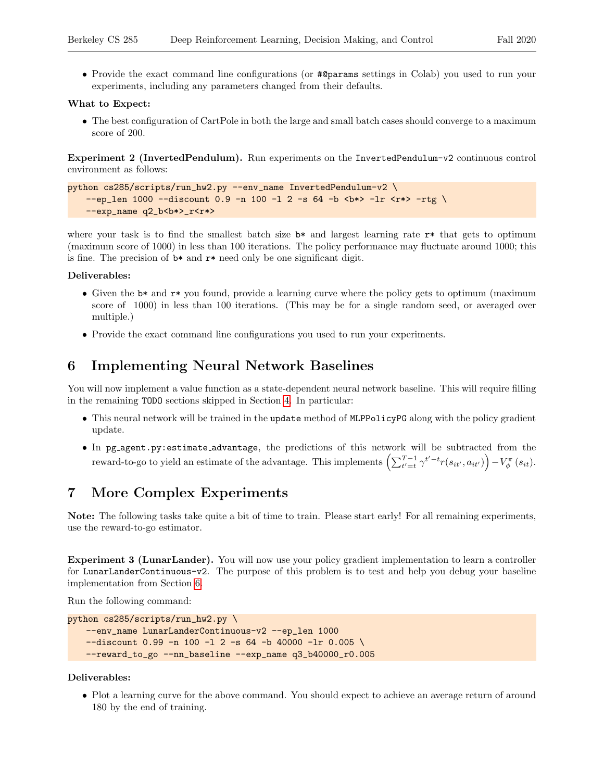• Provide the exact command line configurations (or #@params settings in Colab) you used to run your experiments, including any parameters changed from their defaults.

#### What to Expect:

• The best configuration of CartPole in both the large and small batch cases should converge to a maximum score of 200.

Experiment 2 (InvertedPendulum). Run experiments on the InvertedPendulum-v2 continuous control environment as follows:

```
python cs285/scripts/run_hw2.py --env_name InvertedPendulum-v2 \
    --ep_{len} 1000 --discount 0.9 -n 100 -1 2 -s 64 -b <br/> -b \rightarrow -1 <r*> -rtg \
    --exp_name q2_b<b*>_r<r*>
```
where your task is to find the smallest batch size  $b*$  and largest learning rate  $r*$  that gets to optimum (maximum score of 1000) in less than 100 iterations. The policy performance may fluctuate around 1000; this is fine. The precision of  $\mathbf{b}^*$  and  $\mathbf{r}^*$  need only be one significant digit.

#### Deliverables:

- Given the b<sup>\*</sup> and  $r$ <sup>\*</sup> you found, provide a learning curve where the policy gets to optimum (maximum score of 1000) in less than 100 iterations. (This may be for a single random seed, or averaged over multiple.)
- Provide the exact command line configurations you used to run your experiments.

# <span id="page-4-0"></span>6 Implementing Neural Network Baselines

You will now implement a value function as a state-dependent neural network baseline. This will require filling in the remaining TODO sections skipped in Section [4.](#page-2-0) In particular:

- This neural network will be trained in the update method of MLPPolicyPG along with the policy gradient update.
- In pg agent.py:estimate advantage, the predictions of this network will be subtracted from the reward-to-go to yield an estimate of the advantage. This implements  $\left(\sum_{t'=t}^{T-1} \gamma^{t'-t} r(s_{it'}, a_{it'})\right) - V_{\phi}^{\pi}(s_{it}).$

# 7 More Complex Experiments

Note: The following tasks take quite a bit of time to train. Please start early! For all remaining experiments, use the reward-to-go estimator.

Experiment 3 (LunarLander). You will now use your policy gradient implementation to learn a controller for LunarLanderContinuous-v2. The purpose of this problem is to test and help you debug your baseline implementation from Section [6.](#page-4-0)

Run the following command:

```
python cs285/scripts/run_hw2.py \
   --env_name LunarLanderContinuous-v2 --ep_len 1000
   -discount 0.99 -n 100 -l 2 -s 64 -b 40000 -lr 0.005 \
   --reward_to_go --nn_baseline --exp_name q3_b40000_r0.005
```
#### Deliverables:

• Plot a learning curve for the above command. You should expect to achieve an average return of around 180 by the end of training.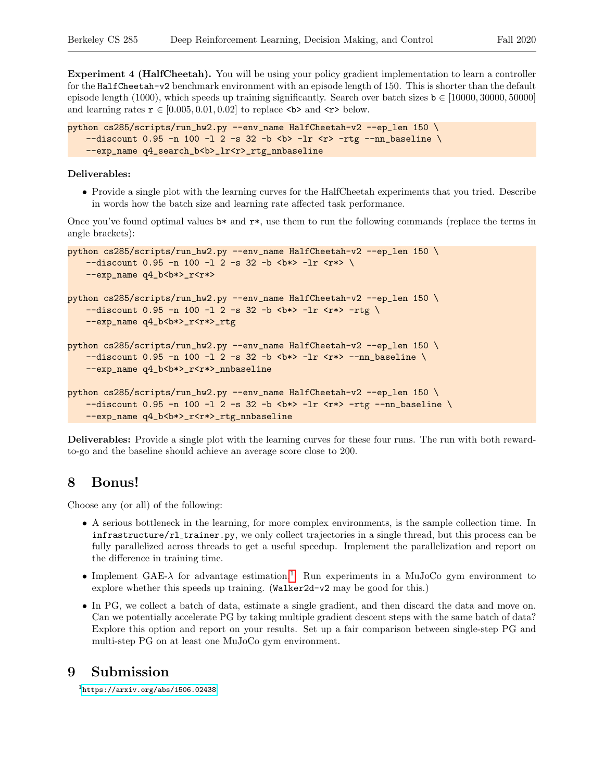Experiment 4 (HalfCheetah). You will be using your policy gradient implementation to learn a controller for the HalfCheetah-v2 benchmark environment with an episode length of 150. This is shorter than the default episode length (1000), which speeds up training significantly. Search over batch sizes  $\mathbf{b} \in [10000, 30000, 50000]$ and learning rates  $\mathbf{r} \in [0.005, 0.01, 0.02]$  to replace <br/>b> and <r> \, below.

```
python cs285/scripts/run_hw2.py --env_name HalfCheetah-v2 --ep_len 150 \
   -discount 0.95 -n 100 -l 2 -s 32 -b <br/> b -lr <r> -rtg --nn_baseline \
   --exp_name q4_search_b<b>_lr<r>>cr>_rtg_nnbaseline
```
#### Deliverables:

• Provide a single plot with the learning curves for the HalfCheetah experiments that you tried. Describe in words how the batch size and learning rate affected task performance.

Once you've found optimal values  $\mathbf{b}^*$  and  $\mathbf{r}^*$ , use them to run the following commands (replace the terms in angle brackets):

```
python cs285/scripts/run_hw2.py --env_name HalfCheetah-v2 --ep_len 150 \
    -discount 0.95 -n 100 -l 2 -s 32 -b <br/> <br/> <br/> -lr <r*> \
   --exp_name q4_b<b*>_r<r*>
python cs285/scripts/run_hw2.py --env_name HalfCheetah-v2 --ep_len 150 \
    -discount 0.95 -n 100 -l 2 -s 32 -b <br/> <br/> <br/> -lr <r*> -rtg \
   --exp_name q4_b<b*>_r<r*>_rtg
python cs285/scripts/run_hw2.py --env_name HalfCheetah-v2 --ep_len 150 \
    -discount 0.95 -n 100 -l 2 -s 32 -b <br/> <br/>b*> -lr <r*> --nn_baseline \
    --exp_name q4_b<b*>_r<r*>_nnbaseline
python cs285/scripts/run_hw2.py --env_name HalfCheetah-v2 --ep_len 150 \
    -discount 0.95 -n 100 -l 2 -s 32 -b <br/> <br/> <br/> -lr <r*> -rtg --nn_baseline \
   --exp_name q4_b<br />b*>_r<r*>_rtg_nnbaseline
```
Deliverables: Provide a single plot with the learning curves for these four runs. The run with both rewardto-go and the baseline should achieve an average score close to 200.

## 8 Bonus!

Choose any (or all) of the following:

- A serious bottleneck in the learning, for more complex environments, is the sample collection time. In infrastructure/rl trainer.py, we only collect trajectories in a single thread, but this process can be fully parallelized across threads to get a useful speedup. Implement the parallelization and report on the difference in training time.
- Implement GAE- $\lambda$  for advantage estimation.<sup>[1](#page-5-0)</sup> Run experiments in a MuJoCo gym environment to explore whether this speeds up training. (Walker2d-v2 may be good for this.)
- In PG, we collect a batch of data, estimate a single gradient, and then discard the data and move on. Can we potentially accelerate PG by taking multiple gradient descent steps with the same batch of data? Explore this option and report on your results. Set up a fair comparison between single-step PG and multi-step PG on at least one MuJoCo gym environment.

## 9 Submission

<span id="page-5-0"></span> $<sup>1</sup>$ <https://arxiv.org/abs/1506.02438></sup>